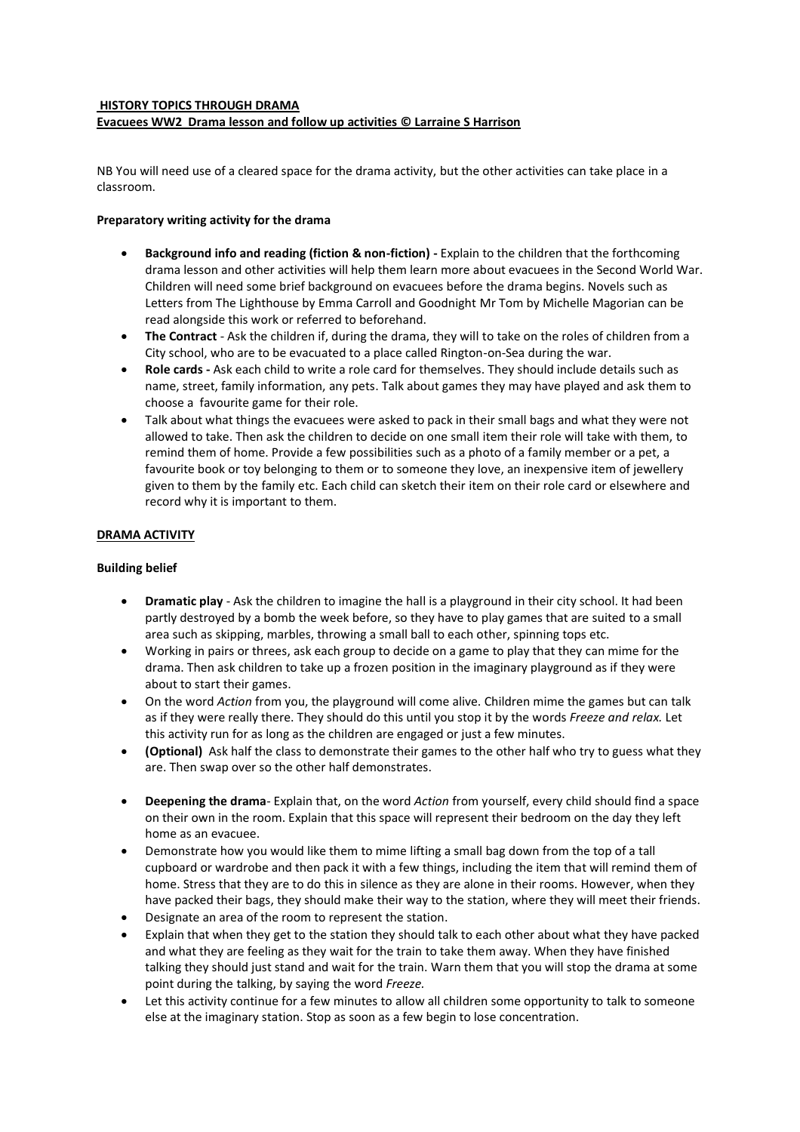#### **HISTORY TOPICS THROUGH DRAMA Evacuees WW2 Drama lesson and follow up activities © Larraine S Harrison**

NB You will need use of a cleared space for the drama activity, but the other activities can take place in a classroom.

## **Preparatory writing activity for the drama**

- **Background info and reading (fiction & non-fiction) -** Explain to the children that the forthcoming drama lesson and other activities will help them learn more about evacuees in the Second World War. Children will need some brief background on evacuees before the drama begins. Novels such as Letters from The Lighthouse by Emma Carroll and Goodnight Mr Tom by Michelle Magorian can be read alongside this work or referred to beforehand.
- **The Contract** Ask the children if, during the drama, they will to take on the roles of children from a City school, who are to be evacuated to a place called Rington-on-Sea during the war.
- **Role cards -** Ask each child to write a role card for themselves. They should include details such as name, street, family information, any pets. Talk about games they may have played and ask them to choose a favourite game for their role.
- Talk about what things the evacuees were asked to pack in their small bags and what they were not allowed to take. Then ask the children to decide on one small item their role will take with them, to remind them of home. Provide a few possibilities such as a photo of a family member or a pet, a favourite book or toy belonging to them or to someone they love, an inexpensive item of jewellery given to them by the family etc. Each child can sketch their item on their role card or elsewhere and record why it is important to them.

## **DRAMA ACTIVITY**

### **Building belief**

- **Dramatic play** Ask the children to imagine the hall is a playground in their city school. It had been partly destroyed by a bomb the week before, so they have to play games that are suited to a small area such as skipping, marbles, throwing a small ball to each other, spinning tops etc.
- Working in pairs or threes, ask each group to decide on a game to play that they can mime for the drama. Then ask children to take up a frozen position in the imaginary playground as if they were about to start their games.
- On the word *Action* from you, the playground will come alive. Children mime the games but can talk as if they were really there. They should do this until you stop it by the words *Freeze and relax.* Let this activity run for as long as the children are engaged or just a few minutes.
- **(Optional)** Ask half the class to demonstrate their games to the other half who try to guess what they are. Then swap over so the other half demonstrates.
- **Deepening the drama** Explain that, on the word *Action* from yourself, every child should find a space on their own in the room. Explain that this space will represent their bedroom on the day they left home as an evacuee.
- Demonstrate how you would like them to mime lifting a small bag down from the top of a tall cupboard or wardrobe and then pack it with a few things, including the item that will remind them of home. Stress that they are to do this in silence as they are alone in their rooms. However, when they have packed their bags, they should make their way to the station, where they will meet their friends.
- Designate an area of the room to represent the station.
- Explain that when they get to the station they should talk to each other about what they have packed and what they are feeling as they wait for the train to take them away. When they have finished talking they should just stand and wait for the train. Warn them that you will stop the drama at some point during the talking, by saying the word *Freeze.*
- Let this activity continue for a few minutes to allow all children some opportunity to talk to someone else at the imaginary station. Stop as soon as a few begin to lose concentration.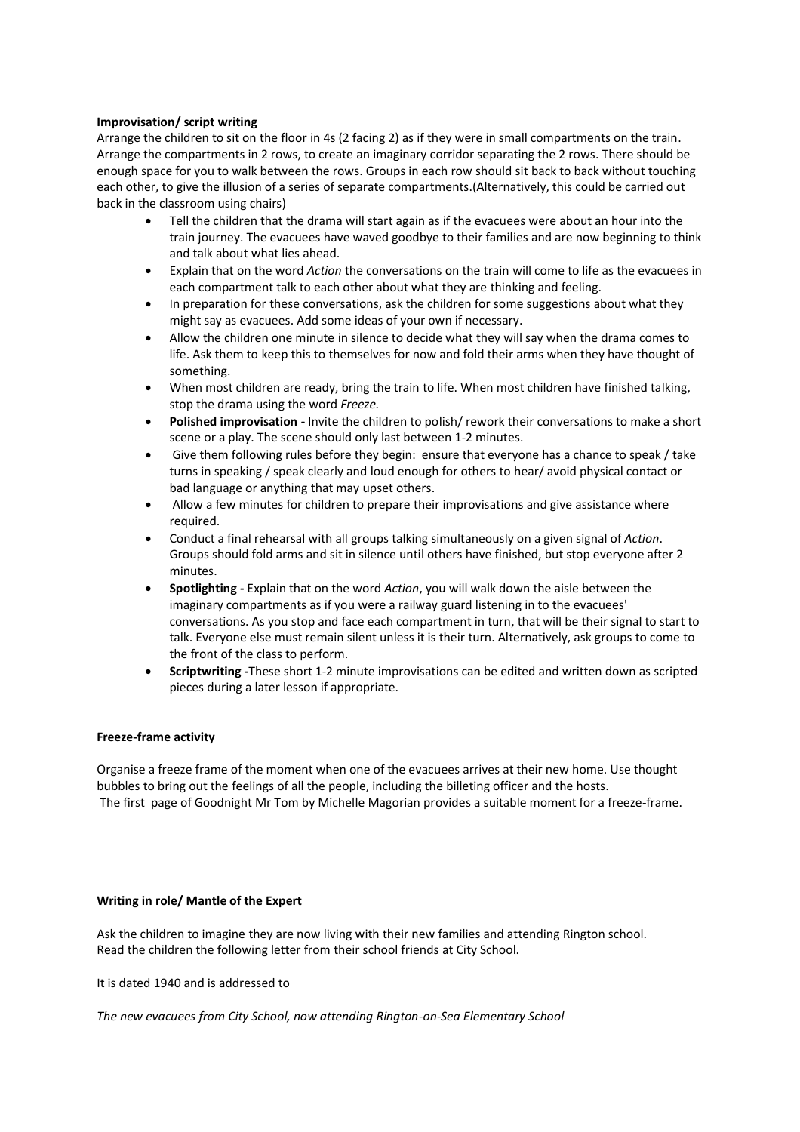### **Improvisation/ script writing**

Arrange the children to sit on the floor in 4s (2 facing 2) as if they were in small compartments on the train. Arrange the compartments in 2 rows, to create an imaginary corridor separating the 2 rows. There should be enough space for you to walk between the rows. Groups in each row should sit back to back without touching each other, to give the illusion of a series of separate compartments.(Alternatively, this could be carried out back in the classroom using chairs)

- Tell the children that the drama will start again as if the evacuees were about an hour into the train journey. The evacuees have waved goodbye to their families and are now beginning to think and talk about what lies ahead.
- Explain that on the word *Action* the conversations on the train will come to life as the evacuees in each compartment talk to each other about what they are thinking and feeling.
- In preparation for these conversations, ask the children for some suggestions about what they might say as evacuees. Add some ideas of your own if necessary.
- Allow the children one minute in silence to decide what they will say when the drama comes to life. Ask them to keep this to themselves for now and fold their arms when they have thought of something.
- When most children are ready, bring the train to life. When most children have finished talking, stop the drama using the word *Freeze.*
- **Polished improvisation -** Invite the children to polish/ rework their conversations to make a short scene or a play. The scene should only last between 1-2 minutes.
- Give them following rules before they begin: ensure that everyone has a chance to speak / take turns in speaking / speak clearly and loud enough for others to hear/ avoid physical contact or bad language or anything that may upset others.
- Allow a few minutes for children to prepare their improvisations and give assistance where required.
- Conduct a final rehearsal with all groups talking simultaneously on a given signal of *Action*. Groups should fold arms and sit in silence until others have finished, but stop everyone after 2 minutes.
- **Spotlighting -** Explain that on the word *Action*, you will walk down the aisle between the imaginary compartments as if you were a railway guard listening in to the evacuees' conversations. As you stop and face each compartment in turn, that will be their signal to start to talk. Everyone else must remain silent unless it is their turn. Alternatively, ask groups to come to the front of the class to perform.
- **Scriptwriting -**These short 1-2 minute improvisations can be edited and written down as scripted pieces during a later lesson if appropriate.

### **Freeze-frame activity**

Organise a freeze frame of the moment when one of the evacuees arrives at their new home. Use thought bubbles to bring out the feelings of all the people, including the billeting officer and the hosts. The first page of Goodnight Mr Tom by Michelle Magorian provides a suitable moment for a freeze-frame.

### **Writing in role/ Mantle of the Expert**

Ask the children to imagine they are now living with their new families and attending Rington school. Read the children the following letter from their school friends at City School.

It is dated 1940 and is addressed to

*The new evacuees from City School, now attending Rington-on-Sea Elementary School*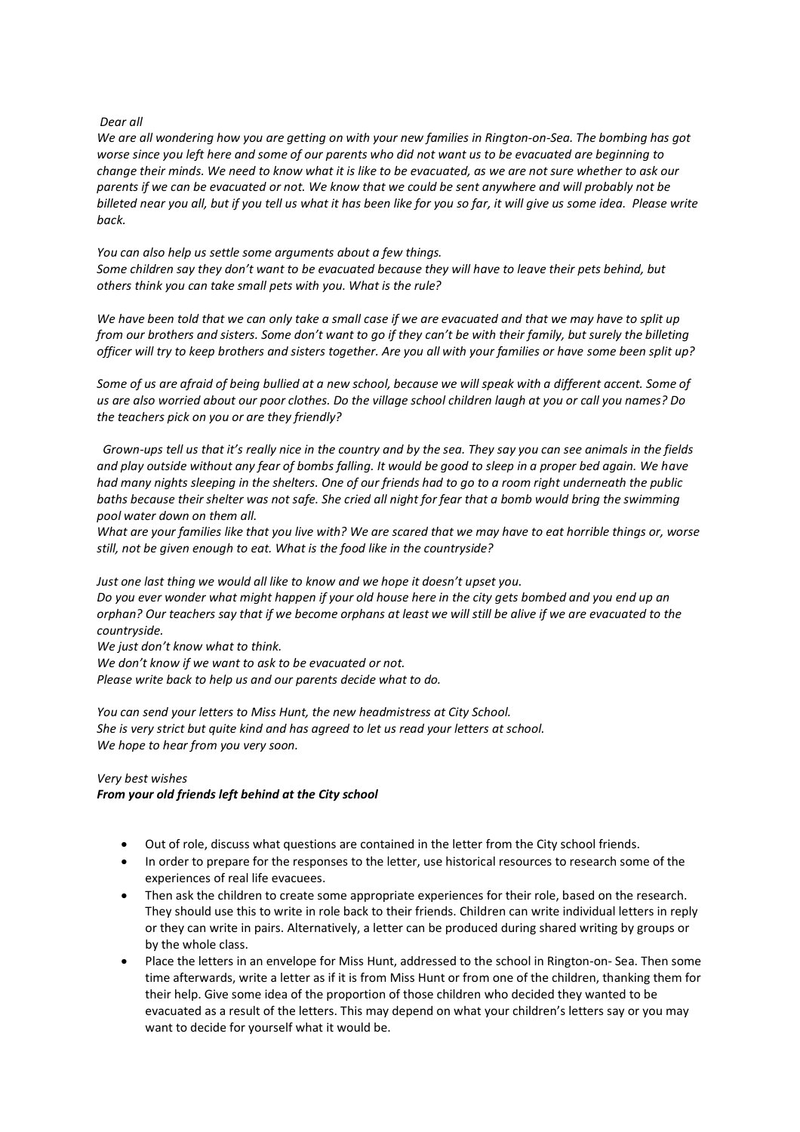#### *Dear all*

*We are all wondering how you are getting on with your new families in Rington-on-Sea. The bombing has got worse since you left here and some of our parents who did not want us to be evacuated are beginning to change their minds. We need to know what it is like to be evacuated, as we are not sure whether to ask our parents if we can be evacuated or not. We know that we could be sent anywhere and will probably not be billeted near you all, but if you tell us what it has been like for you so far, it will give us some idea. Please write back.* 

*You can also help us settle some arguments about a few things. Some children say they don't want to be evacuated because they will have to leave their pets behind, but others think you can take small pets with you. What is the rule?* 

*We have been told that we can only take a small case if we are evacuated and that we may have to split up from our brothers and sisters. Some don't want to go if they can't be with their family, but surely the billeting officer will try to keep brothers and sisters together. Are you all with your families or have some been split up?* 

*Some of us are afraid of being bullied at a new school, because we will speak with a different accent. Some of us are also worried about our poor clothes. Do the village school children laugh at you or call you names? Do the teachers pick on you or are they friendly?*

 *Grown-ups tell us that it's really nice in the country and by the sea. They say you can see animals in the fields and play outside without any fear of bombs falling. It would be good to sleep in a proper bed again. We have had many nights sleeping in the shelters. One of our friends had to go to a room right underneath the public baths because their shelter was not safe. She cried all night for fear that a bomb would bring the swimming pool water down on them all.* 

*What are your families like that you live with? We are scared that we may have to eat horrible things or, worse still, not be given enough to eat. What is the food like in the countryside?* 

*Just one last thing we would all like to know and we hope it doesn't upset you. Do you ever wonder what might happen if your old house here in the city gets bombed and you end up an* 

*orphan? Our teachers say that if we become orphans at least we will still be alive if we are evacuated to the countryside.* 

*We just don't know what to think.* 

*We don't know if we want to ask to be evacuated or not.* 

*Please write back to help us and our parents decide what to do.*

*You can send your letters to Miss Hunt, the new headmistress at City School. She is very strict but quite kind and has agreed to let us read your letters at school. We hope to hear from you very soon.* 

### *Very best wishes*

*From your old friends left behind at the City school* 

- Out of role, discuss what questions are contained in the letter from the City school friends.
- In order to prepare for the responses to the letter, use historical resources to research some of the experiences of real life evacuees.
- Then ask the children to create some appropriate experiences for their role, based on the research. They should use this to write in role back to their friends. Children can write individual letters in reply or they can write in pairs. Alternatively, a letter can be produced during shared writing by groups or by the whole class.
- Place the letters in an envelope for Miss Hunt, addressed to the school in Rington-on- Sea. Then some time afterwards, write a letter as if it is from Miss Hunt or from one of the children, thanking them for their help. Give some idea of the proportion of those children who decided they wanted to be evacuated as a result of the letters. This may depend on what your children's letters say or you may want to decide for yourself what it would be.